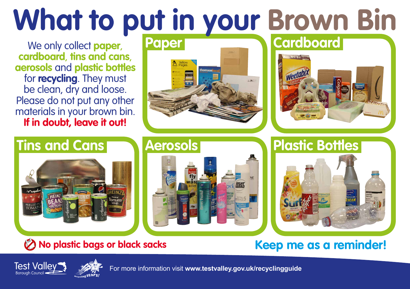# **What to put in your Brown Bin**<br>We only collect paper **Paper Cardboard**

We only collect **paper**, **cardboard**, **tins and cans**, **aerosols** and **plastic bottles** for **recycling**. They must be clean, dry and loose. Please do not put any other materials in your brown bin. **If in doubt, leave it out!**







# **B** No plastic bags or black sacks





# **Keep me as a reminder!**





For more information visit **www.testvalley.gov.uk/recyclingguide**